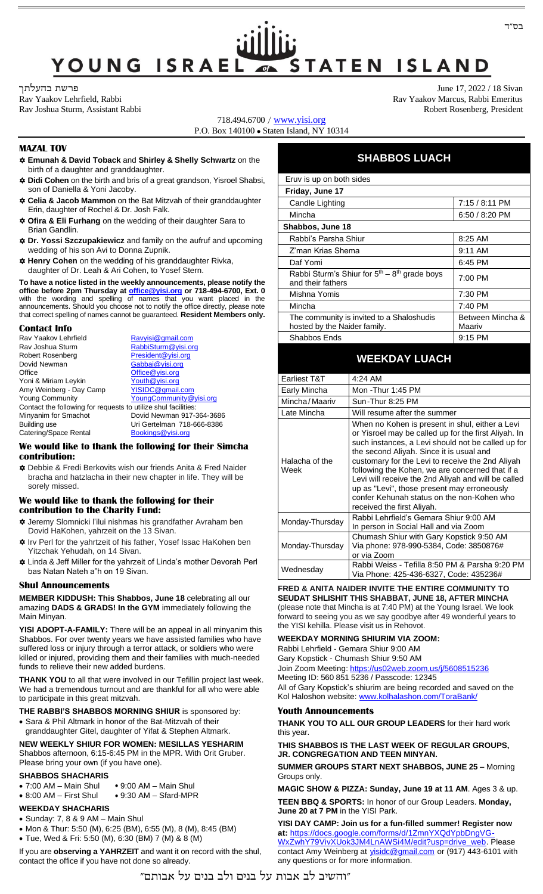# YOUNG ISRAEI **STATEN ISLAND**

June 17, 2022 / 18 Sivan

718.494.6700 / [www.yisi.org](http://www.yisi.org/) P.O. Box 140100 ⚫ Staten Island, NY 10314

#### **MAZAL TOV**

- **Emunah & David Toback** and **Shirley & Shelly Schwartz** on the birth of a daughter and granddaughter.
- **Didi Cohen** on the birth and bris of a great grandson, Yisroel Shabsi, son of Daniella & Yoni Jacoby.
- **Celia & Jacob Mammon** on the Bat Mitzvah of their granddaughter Erin, daughter of Rochel & Dr. Josh Falk.
- **Ofira & Eli Furhang** on the wedding of their daughter Sara to Brian Gandlin.
- **Dr. Yossi Szczupakiewicz** and family on the aufruf and upcoming wedding of his son Avi to Donna Zupnik.
- **Henry Cohen** on the wedding of his granddaughter Rivka, daughter of Dr. Leah & Ari Cohen, to Yosef Stern.

**To have a notice listed in the weekly announcements, please notify the office before 2pm Thursday at [office@yisi.org](mailto:office@yisi.org) or 718-494-6700, Ext. 0** with the wording and spelling of names that you want placed in the announcements. Should you choose not to notify the office directly, please note that correct spelling of names cannot be guaranteed. **Resident Members only.**

#### **Contact Info**

| Rav Yaakov Lehrfield                                           | Ravyisi@gmail.com          |
|----------------------------------------------------------------|----------------------------|
| Rav Joshua Sturm                                               | RabbiSturm@yisi.org        |
| Robert Rosenberg                                               | President@yisi.org         |
| Dovid Newman                                                   | Gabbai@yisi.org            |
| Office                                                         | Office@yisi.org            |
| Yoni & Miriam Leykin                                           | Youth@yisi.org             |
| Amy Weinberg - Day Camp                                        | YISIDC@gmail.com           |
| <b>Young Community</b>                                         | YoungCommunity@yisi.org    |
| Contact the following for requests to utilize shul facilities: |                            |
| Minyanim for Smachot                                           | Dovid Newman 917-364-3686  |
| Building use                                                   | Uri Gertelman 718-666-8386 |
| Catering/Space Rental                                          | Bookings@yisi.org          |

#### **We would like to thank the following for their Simcha contribution:**

 Debbie & Fredi Berkovits wish our friends Anita & Fred Naider bracha and hatzlacha in their new chapter in life. They will be sorely missed.

#### **We would like to thank the following for their contribution to the Charity Fund:**

- Jeremy Slomnicki l'ilui nishmas his grandfather Avraham ben Dovid HaKohen, yahrzeit on the 13 Sivan.
- Irv Perl for the yahrtzeit of his father, Yosef Issac HaKohen ben Yitzchak Yehudah, on 14 Sivan.
- Linda & Jeff Miller for the yahrzeit of Linda's mother Devorah Perl bas Natan Nateh a"h on 19 Sivan.

#### **Shul Announcements**

**MEMBER KIDDUSH: This Shabbos, June 18** celebrating all our amazing **DADS & GRADS! In the GYM** immediately following the Main Minyan.

**YISI ADOPT-A-FAMILY:** There will be an appeal in all minyanim this Shabbos. For over twenty years we have assisted families who have suffered loss or injury through a terror attack, or soldiers who were killed or injured, providing them and their families with much-needed funds to relieve their new added burdens.

**THANK YOU** to all that were involved in our Tefillin project last week. We had a tremendous turnout and are thankful for all who were able to participate in this great mitzvah.

**THE RABBI'S SHABBOS MORNING SHIUR** is sponsored by:

• Sara & Phil Altmark in honor of the Bat-Mitzvah of their granddaughter Gitel, daughter of Yifat & Stephen Altmark.

**NEW WEEKLY SHIUR FOR WOMEN: MESILLAS YESHARIM** Shabbos afternoon, 6:15-6:45 PM in the MPR. With Orit Gruber. Please bring your own (if you have one).

#### **SHABBOS SHACHARIS**

- 7:00 AM Main Shul ⚫ 9:00 AM Main Shul • 8:00 AM – First Shul ⚫ 9:30 AM – Sfard-MPR
- 

### **WEEKDAY SHACHARIS**

- Sunday: 7, 8 & 9 AM Main Shul
- Mon & Thur: 5:50 (M), 6:25 (BM), 6:55 (M), 8 (M), 8:45 (BM)
- Tue, Wed & Fri: 5:50 (M), 6:30 (BM) 7 (M) & 8 (M)

If you are **observing a YAHRZEIT** and want it on record with the shul, contact the office if you have not done so already.

Rav Yaakov Lehrfield, Rabbi Rav Yaakov Marcus, Rabbi Emeritus Rav Joshua Sturm, Assistant Rabbi **Robert Rosenberg, President** Robert Rosenberg, President

## **SHABBOS LUACH**

| Eruv is up on both sides                                                  |                            |
|---------------------------------------------------------------------------|----------------------------|
| Friday, June 17                                                           |                            |
| Candle Lighting                                                           | 7:15 / 8:11 PM             |
| Mincha                                                                    | $6:50/8:20$ PM             |
| Shabbos, June 18                                                          |                            |
| Rabbi's Parsha Shiur                                                      | $8:25$ AM                  |
| Z'man Krias Shema                                                         | $9:11$ AM                  |
| Daf Yomi                                                                  | 6:45 PM                    |
| Rabbi Sturm's Shiur for $5th - 8th$ grade boys<br>and their fathers       | 7:00 PM                    |
| Mishna Yomis                                                              | 7:30 PM                    |
| Mincha                                                                    | 7:40 PM                    |
| The community is invited to a Shaloshudis<br>hosted by the Naider family. | Between Mincha &<br>Maariv |
| Shabbos Ends                                                              | $9:15$ PM                  |

## **WEEKDAY LUACH**

| Earliest T&T           | 4:24 AM                                                                                                                                                                                                                                                                                                                                                                                                                                                                                            |
|------------------------|----------------------------------------------------------------------------------------------------------------------------------------------------------------------------------------------------------------------------------------------------------------------------------------------------------------------------------------------------------------------------------------------------------------------------------------------------------------------------------------------------|
| Early Mincha           | Mon -Thur 1:45 PM                                                                                                                                                                                                                                                                                                                                                                                                                                                                                  |
| Mincha / Maariv        | Sun-Thur 8:25 PM                                                                                                                                                                                                                                                                                                                                                                                                                                                                                   |
| Late Mincha            | Will resume after the summer                                                                                                                                                                                                                                                                                                                                                                                                                                                                       |
| Halacha of the<br>Week | When no Kohen is present in shul, either a Levi<br>or Yisroel may be called up for the first Aliyah. In<br>such instances, a Levi should not be called up for<br>the second Aliyah. Since it is usual and<br>customary for the Levi to receive the 2nd Aliyah<br>following the Kohen, we are concerned that if a<br>Levi will receive the 2nd Aliyah and will be called<br>up as "Levi", those present may erroneously<br>confer Kehunah status on the non-Kohen who<br>received the first Aliyah. |
| Monday-Thursday        | Rabbi Lehrfield's Gemara Shiur 9:00 AM<br>In person in Social Hall and via Zoom                                                                                                                                                                                                                                                                                                                                                                                                                    |
| Monday-Thursday        | Chumash Shiur with Gary Kopstick 9:50 AM<br>Via phone: 978-990-5384, Code: 3850876#<br>or via Zoom                                                                                                                                                                                                                                                                                                                                                                                                 |
| Wednesday              | Rabbi Weiss - Tefilla 8:50 PM & Parsha 9:20 PM<br>Via Phone: 425-436-6327, Code: 435236#                                                                                                                                                                                                                                                                                                                                                                                                           |

## **FRED & ANITA NAIDER INVITE THE ENTIRE COMMUNITY TO**

**SEUDAT SHLISHIT THIS SHABBAT, JUNE 18, AFTER MINCHA** (please note that Mincha is at 7:40 PM) at the Young Israel. We look forward to seeing you as we say goodbye after 49 wonderful years to the YISI kehilla. Please visit us in Rehovot.

#### **WEEKDAY MORNING SHIURIM VIA ZOOM:**

Rabbi Lehrfield - Gemara Shiur 9:00 AM Gary Kopstick - Chumash Shiur 9:50 AM Join Zoom Meeting[: https://us02web.zoom.us/j/5608515236](https://us02web.zoom.us/j/5608515236) Meeting ID: 560 851 5236 / Passcode: 12345

All of Gary Kopstick's shiurim are being recorded and saved on the Kol Haloshon website: [www.kolhalashon.com/ToraBank/](http://www.kolhalashon.com/ToraBank/)

#### **Youth Announcements**

**THANK YOU TO ALL OUR GROUP LEADERS** for their hard work this year.

**THIS SHABBOS IS THE LAST WEEK OF REGULAR GROUPS, JR. CONGREGATION AND TEEN MINYAN.**

**SUMMER GROUPS START NEXT SHABBOS, JUNE 25 –** Morning Groups only.

**MAGIC SHOW & PIZZA: Sunday, June 19 at 11 AM**. Ages 3 & up. **TEEN BBQ & SPORTS:** In honor of our Group Leaders. **Monday, June 20 at 7 PM** in the YISI Park.

**YISI DAY CAMP: Join us for a fun-filled summer! Register now at:** [https://docs.google.com/forms/d/1ZmnYXQdYpbDngVG-](https://docs.google.com/forms/d/1ZmnYXQdYpbDngVG-WxZwhY79VivXUok3JM4LnAWSi4M/edit?usp=drive_web)[WxZwhY79VivXUok3JM4LnAWSi4M/edit?usp=drive\\_web.](https://docs.google.com/forms/d/1ZmnYXQdYpbDngVG-WxZwhY79VivXUok3JM4LnAWSi4M/edit?usp=drive_web) Please contact Amy Weinberg at *[yisidc@gmail.com](mailto:yisidc@gmail.com)* or (917) 443-6101 with any questions or for more information.